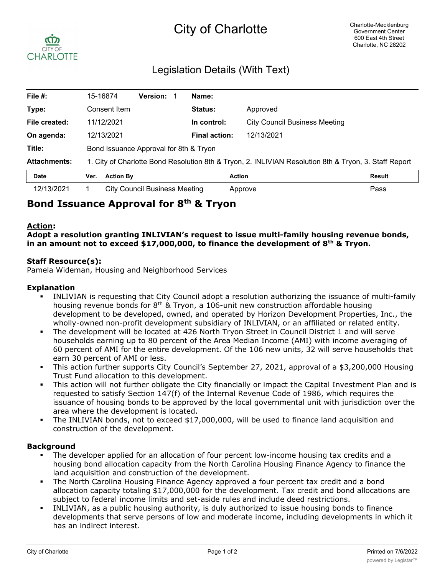

# Legislation Details (With Text)

| File #:             |                                                                                                       | 15-16874                               | <b>Version:</b>               |  | Name:                |                                      |  |
|---------------------|-------------------------------------------------------------------------------------------------------|----------------------------------------|-------------------------------|--|----------------------|--------------------------------------|--|
| Type:               |                                                                                                       | Consent Item                           |                               |  | Status:              | Approved                             |  |
| File created:       |                                                                                                       | 11/12/2021                             |                               |  | In control:          | <b>City Council Business Meeting</b> |  |
| On agenda:          |                                                                                                       | 12/13/2021                             |                               |  | <b>Final action:</b> | 12/13/2021                           |  |
| Title:              |                                                                                                       | Bond Issuance Approval for 8th & Tryon |                               |  |                      |                                      |  |
| <b>Attachments:</b> | 1. City of Charlotte Bond Resolution 8th & Tryon, 2. INLIVIAN Resolution 8th & Tryon, 3. Staff Report |                                        |                               |  |                      |                                      |  |
| <b>Date</b>         | Ver.                                                                                                  | <b>Action By</b>                       |                               |  | <b>Action</b>        | <b>Result</b>                        |  |
| 12/13/2021          |                                                                                                       |                                        | City Council Business Meeting |  |                      | Pass<br>Approve                      |  |

# **Bond Issuance Approval for 8th & Tryon**

## **Action:**

**Adopt a resolution granting INLIVIAN's request to issue multi-family housing revenue bonds, in an amount not to exceed \$17,000,000, to finance the development of 8th & Tryon.**

## **Staff Resource(s):**

Pamela Wideman, Housing and Neighborhood Services

#### **Explanation**

- § INLIVIAN is requesting that City Council adopt a resolution authorizing the issuance of multi-family housing revenue bonds for  $8<sup>th</sup>$  & Tryon, a 106-unit new construction affordable housing development to be developed, owned, and operated by Horizon Development Properties, Inc., the wholly-owned non-profit development subsidiary of INLIVIAN, or an affiliated or related entity.
- The development will be located at 426 North Tryon Street in Council District 1 and will serve households earning up to 80 percent of the Area Median Income (AMI) with income averaging of 60 percent of AMI for the entire development. Of the 106 new units, 32 will serve households that earn 30 percent of AMI or less.
- This action further supports City Council's September 27, 2021, approval of a \$3,200,000 Housing Trust Fund allocation to this development.
- This action will not further obligate the City financially or impact the Capital Investment Plan and is requested to satisfy Section 147(f) of the Internal Revenue Code of 1986, which requires the issuance of housing bonds to be approved by the local governmental unit with jurisdiction over the area where the development is located.
- The INLIVIAN bonds, not to exceed \$17,000,000, will be used to finance land acquisition and construction of the development.

### **Background**

- The developer applied for an allocation of four percent low-income housing tax credits and a housing bond allocation capacity from the North Carolina Housing Finance Agency to finance the land acquisition and construction of the development.
- The North Carolina Housing Finance Agency approved a four percent tax credit and a bond allocation capacity totaling \$17,000,000 for the development. Tax credit and bond allocations are subject to federal income limits and set-aside rules and include deed restrictions.
- INLIVIAN, as a public housing authority, is duly authorized to issue housing bonds to finance developments that serve persons of low and moderate income, including developments in which it has an indirect interest.